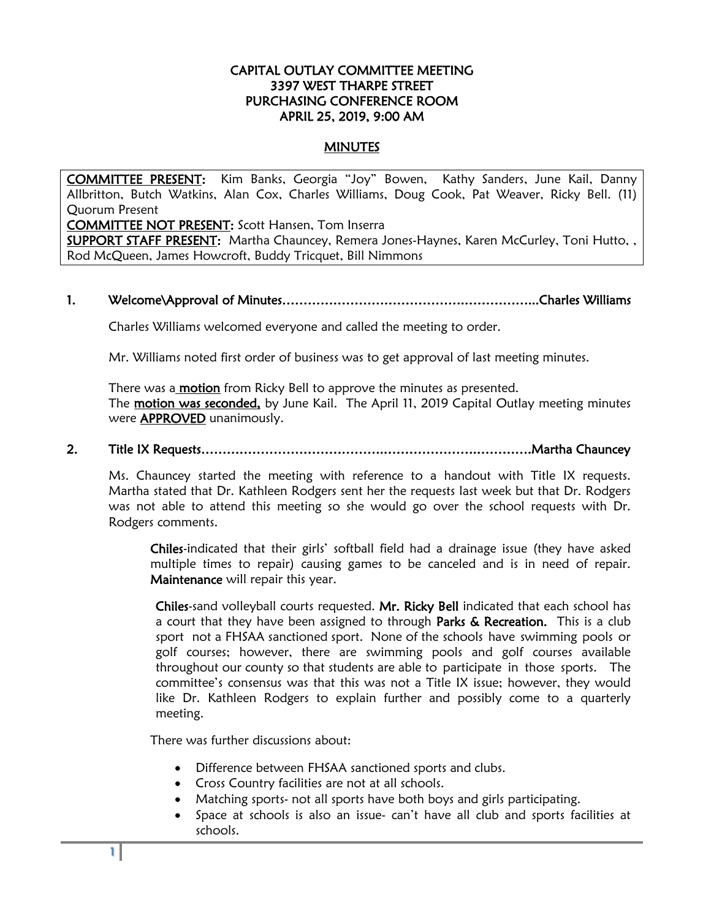### CAPITAL OUTLAY COMMITTEE MEETING 3397 WEST THARPE STREET PURCHASING CONFERENCE ROOM APRIL 25, 2019, 9:00 AM

### **MINUTES**

COMMITTEE PRESENT: Kim Banks, Georgia "Joy" Bowen, Kathy Sanders, June Kail, Danny Allbritton, Butch Watkins, Alan Cox, Charles Williams, Doug Cook, Pat Weaver, Ricky Bell. (11) Quorum Present

COMMITTEE NOT PRESENT: Scott Hansen, Tom Inserra

SUPPORT STAFF PRESENT: Martha Chauncey, Remera Jones-Haynes, Karen McCurley, Toni Hutto, , Rod McQueen, James Howcroft, Buddy Tricquet, Bill Nimmons

## 1. Welcome\Approval of Minutes…………………………………….……………...Charles Williams

Charles Williams welcomed everyone and called the meeting to order.

Mr. Williams noted first order of business was to get approval of last meeting minutes.

There was a **motion** from Ricky Bell to approve the minutes as presented. The motion was seconded, by June Kail. The April 11, 2019 Capital Outlay meeting minutes were APPROVED unanimously.

## 2. Title IX Requests…………………………………….………………….………….Martha Chauncey

 Ms. Chauncey started the meeting with reference to a handout with Title IX requests. Martha stated that Dr. Kathleen Rodgers sent her the requests last week but that Dr. Rodgers was not able to attend this meeting so she would go over the school requests with Dr. Rodgers comments.

Chiles-indicated that their girls' softball field had a drainage issue (they have asked multiple times to repair) causing games to be canceled and is in need of repair. Maintenance will repair this year.

Chiles-sand volleyball courts requested. Mr. Ricky Bell indicated that each school has a court that they have been assigned to through Parks & Recreation. This is a club sport not a FHSAA sanctioned sport. None of the schools have swimming pools or golf courses; however, there are swimming pools and golf courses available throughout our county so that students are able to participate in those sports. The committee's consensus was that this was not a Title IX issue; however, they would like Dr. Kathleen Rodgers to explain further and possibly come to a quarterly meeting.

There was further discussions about:

- Difference between FHSAA sanctioned sports and clubs.
- Cross Country facilities are not at all schools.
- Matching sports- not all sports have both boys and girls participating.
- Space at schools is also an issue- can't have all club and sports facilities at schools.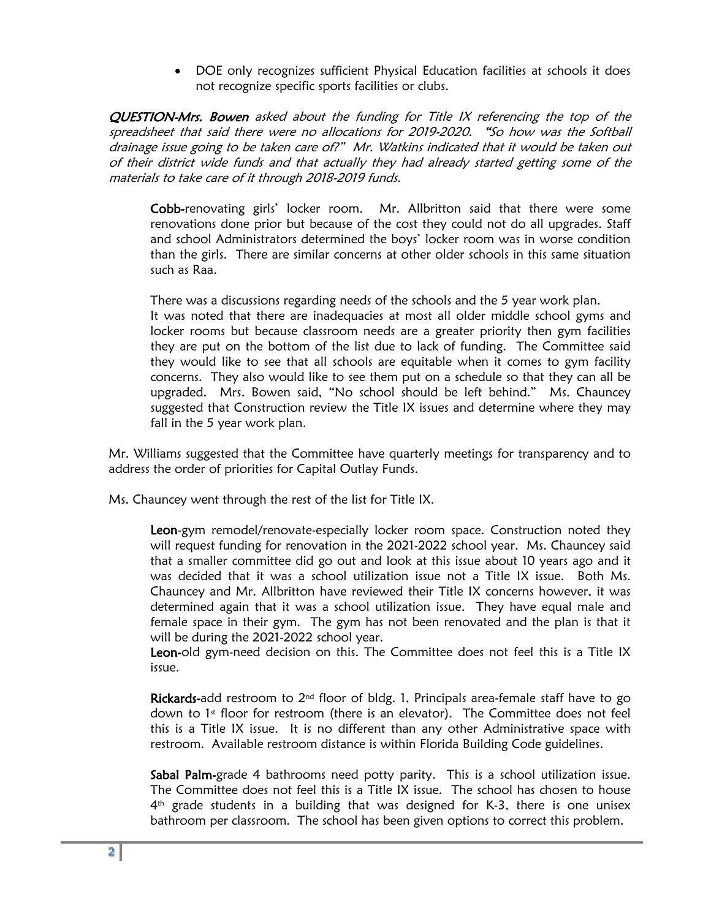• DOE only recognizes sufficient Physical Education facilities at schools it does not recognize specific sports facilities or clubs.

QUESTION-Mrs. Bowen asked about the funding for Title IX referencing the top of the spreadsheet that said there were no allocations for 2019-2020. "So how was the Softball drainage issue going to be taken care of?" Mr. Watkins indicated that it would be taken out of their district wide funds and that actually they had already started getting some of the materials to take care of it through 2018-2019 funds.

 Cobb-renovating girls' locker room. Mr. Allbritton said that there were some renovations done prior but because of the cost they could not do all upgrades. Staff and school Administrators determined the boys' locker room was in worse condition than the girls. There are similar concerns at other older schools in this same situation such as Raa.

There was a discussions regarding needs of the schools and the 5 year work plan. It was noted that there are inadequacies at most all older middle school gyms and locker rooms but because classroom needs are a greater priority then gym facilities they are put on the bottom of the list due to lack of funding. The Committee said they would like to see that all schools are equitable when it comes to gym facility concerns. They also would like to see them put on a schedule so that they can all be upgraded. Mrs. Bowen said, "No school should be left behind." Ms. Chauncey suggested that Construction review the Title IX issues and determine where they may fall in the 5 year work plan.

Mr. Williams suggested that the Committee have quarterly meetings for transparency and to address the order of priorities for Capital Outlay Funds.

Ms. Chauncey went through the rest of the list for Title IX.

Leon-gym remodel/renovate-especially locker room space. Construction noted they will request funding for renovation in the 2021-2022 school year. Ms. Chauncey said that a smaller committee did go out and look at this issue about 10 years ago and it was decided that it was a school utilization issue not a Title IX issue. Both Ms. Chauncey and Mr. Allbritton have reviewed their Title IX concerns however, it was determined again that it was a school utilization issue. They have equal male and female space in their gym. The gym has not been renovated and the plan is that it will be during the 2021-2022 school year.

Leon-old gym-need decision on this. The Committee does not feel this is a Title IX issue.

Rickards-add restroom to 2<sup>nd</sup> floor of bldg. 1, Principals area-female staff have to go down to  $1<sup>st</sup>$  floor for restroom (there is an elevator). The Committee does not feel this is a Title IX issue. It is no different than any other Administrative space with restroom. Available restroom distance is within Florida Building Code guidelines.

Sabal Palm-grade 4 bathrooms need potty parity. This is a school utilization issue. The Committee does not feel this is a Title IX issue. The school has chosen to house 4<sup>th</sup> grade students in a building that was designed for K-3, there is one unisex bathroom per classroom. The school has been given options to correct this problem.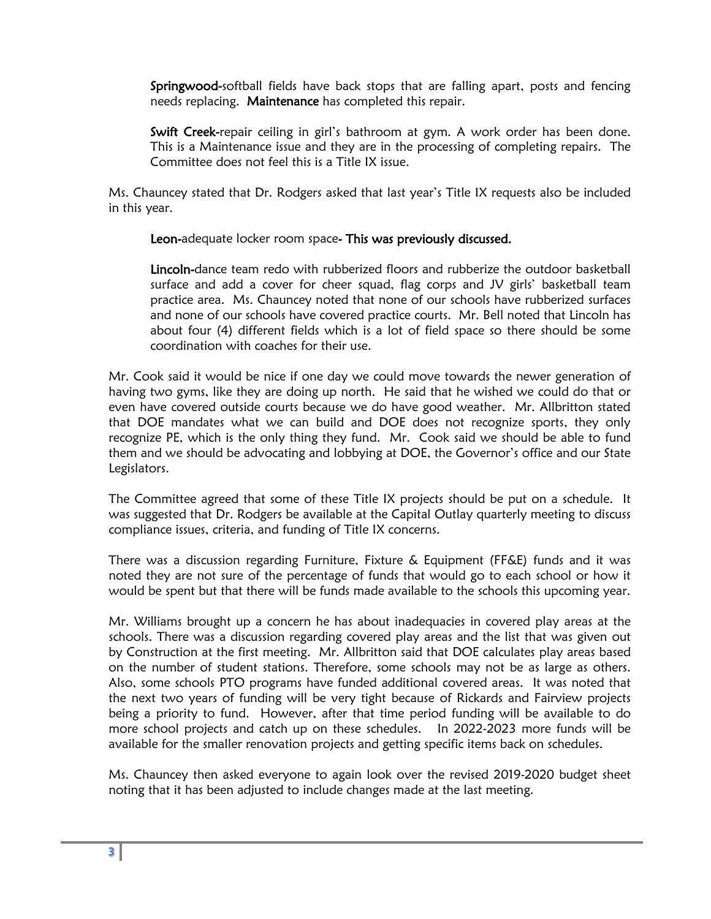Springwood-softball fields have back stops that are falling apart, posts and fencing needs replacing. Maintenance has completed this repair.

Swift Creek-repair ceiling in girl's bathroom at gym. A work order has been done. This is a Maintenance issue and they are in the processing of completing repairs. The Committee does not feel this is a Title IX issue.

Ms. Chauncey stated that Dr. Rodgers asked that last year's Title IX requests also be included in this year.

Leon-adequate locker room space- This was previously discussed.

Lincoln-dance team redo with rubberized floors and rubberize the outdoor basketball surface and add a cover for cheer squad, flag corps and JV girls' basketball team practice area. Ms. Chauncey noted that none of our schools have rubberized surfaces and none of our schools have covered practice courts. Mr. Bell noted that Lincoln has about four (4) different fields which is a lot of field space so there should be some coordination with coaches for their use.

Mr. Cook said it would be nice if one day we could move towards the newer generation of having two gyms, like they are doing up north. He said that he wished we could do that or even have covered outside courts because we do have good weather. Mr. Allbritton stated that DOE mandates what we can build and DOE does not recognize sports, they only recognize PE, which is the only thing they fund. Mr. Cook said we should be able to fund them and we should be advocating and lobbying at DOE, the Governor's office and our State Legislators.

The Committee agreed that some of these Title IX projects should be put on a schedule. It was suggested that Dr. Rodgers be available at the Capital Outlay quarterly meeting to discuss compliance issues, criteria, and funding of Title IX concerns.

There was a discussion regarding Furniture, Fixture & Equipment (FF&E) funds and it was noted they are not sure of the percentage of funds that would go to each school or how it would be spent but that there will be funds made available to the schools this upcoming year.

Mr. Williams brought up a concern he has about inadequacies in covered play areas at the schools. There was a discussion regarding covered play areas and the list that was given out by Construction at the first meeting. Mr. Allbritton said that DOE calculates play areas based on the number of student stations. Therefore, some schools may not be as large as others. Also, some schools PTO programs have funded additional covered areas. It was noted that the next two years of funding will be very tight because of Rickards and Fairview projects being a priority to fund. However, after that time period funding will be available to do more school projects and catch up on these schedules. In 2022-2023 more funds will be available for the smaller renovation projects and getting specific items back on schedules.

Ms. Chauncey then asked everyone to again look over the revised 2019-2020 budget sheet noting that it has been adjusted to include changes made at the last meeting.